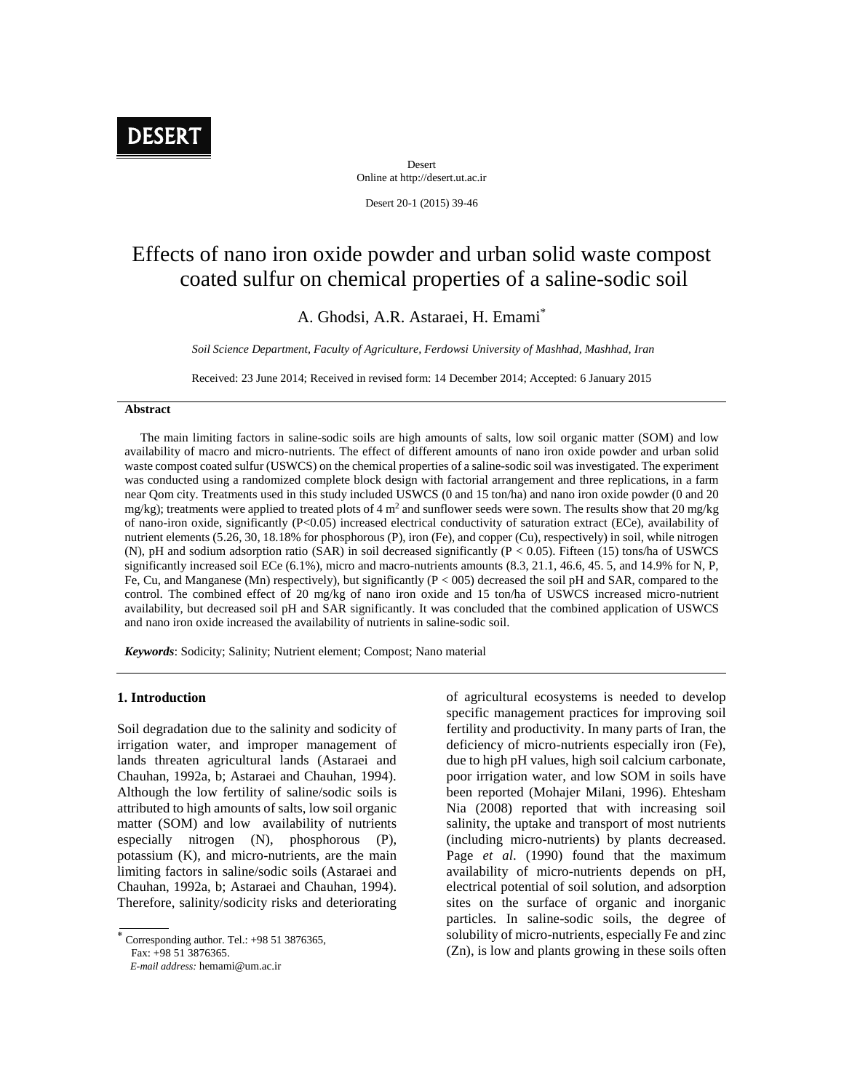

Desert Online at http://desert.ut.ac.ir

Desert 20-1 (2015) 39-46

# Effects of nano iron oxide powder and urban solid waste compost coated sulfur on chemical properties of a saline-sodic soil

## A. Ghodsi, A.R. Astaraei, H. Emami\*

*Soil Science Department, Faculty of Agriculture, Ferdowsi University of Mashhad, Mashhad, Iran*

Received: 23 June 2014; Received in revised form: 14 December 2014; Accepted: 6 January 2015

#### **Abstract**

The main limiting factors in saline-sodic soils are high amounts of salts, low soil organic matter (SOM) and low availability of macro and micro-nutrients. The effect of different amounts of nano iron oxide powder and urban solid waste compost coated sulfur (USWCS) on the chemical properties of a saline-sodic soil was investigated. The experiment was conducted using a randomized complete block design with factorial arrangement and three replications, in a farm near Qom city. Treatments used in this study included USWCS (0 and 15 ton/ha) and nano iron oxide powder (0 and 20 mg/kg); treatments were applied to treated plots of 4  $m<sup>2</sup>$  and sunflower seeds were sown. The results show that 20 mg/kg of nano-iron oxide, significantly (P<0.05) increased electrical conductivity of saturation extract (ECe), availability of nutrient elements (5.26, 30, 18.18% for phosphorous (P), iron (Fe), and copper (Cu), respectively) in soil, while nitrogen (N), pH and sodium adsorption ratio (SAR) in soil decreased significantly (P < 0.05). Fifteen (15) tons/ha of USWCS significantly increased soil ECe  $(6.1\%)$ , micro and macro-nutrients amounts  $(8.3, 21.1, 46.6, 45.5,$  and  $14.9\%$  for N, P, Fe, Cu, and Manganese (Mn) respectively), but significantly (P < 005) decreased the soil pH and SAR, compared to the control. The combined effect of 20 mg/kg of nano iron oxide and 15 ton/ha of USWCS increased micro-nutrient availability, but decreased soil pH and SAR significantly. It was concluded that the combined application of USWCS and nano iron oxide increased the availability of nutrients in saline-sodic soil.

*Keywords*: Sodicity; Salinity; Nutrient element; Compost; Nano material

#### **1. Introduction**

Soil degradation due to the salinity and sodicity of irrigation water, and improper management of lands threaten agricultural lands (Astaraei and Chauhan, 1992a, b; Astaraei and Chauhan, 1994). Although the low fertility of saline/sodic soils is attributed to high amounts of salts, low soil organic matter (SOM) and low availability of nutrients especially nitrogen (N), phosphorous (P), potassium (K), and micro-nutrients, are the main limiting factors in saline/sodic soils (Astaraei and Chauhan, 1992a, b; Astaraei and Chauhan, 1994). Therefore, salinity/sodicity risks and deteriorating

 Corresponding author. Tel.: +98 <sup>51</sup> 3876365, Fax: +98 51 3876365. *E-mail address:* hemami@um.ac.ir

of agricultural ecosystems is needed to develop specific management practices for improving soil fertility and productivity. In many parts of Iran, the deficiency of micro-nutrients especially iron (Fe), due to high pH values, high soil calcium carbonate, poor irrigation water, and low SOM in soils have been reported (Mohajer Milani, 1996). Ehtesham Nia (2008) reported that with increasing soil salinity, the uptake and transport of most nutrients (including micro-nutrients) by plants decreased. Page *et al*. (1990) found that the maximum availability of micro-nutrients depends on pH, electrical potential of soil solution, and adsorption sites on the surface of organic and inorganic particles. In saline-sodic soils, the degree of solubility of micro-nutrients, especially Fe and zinc (Zn), is low and plants growing in these soils often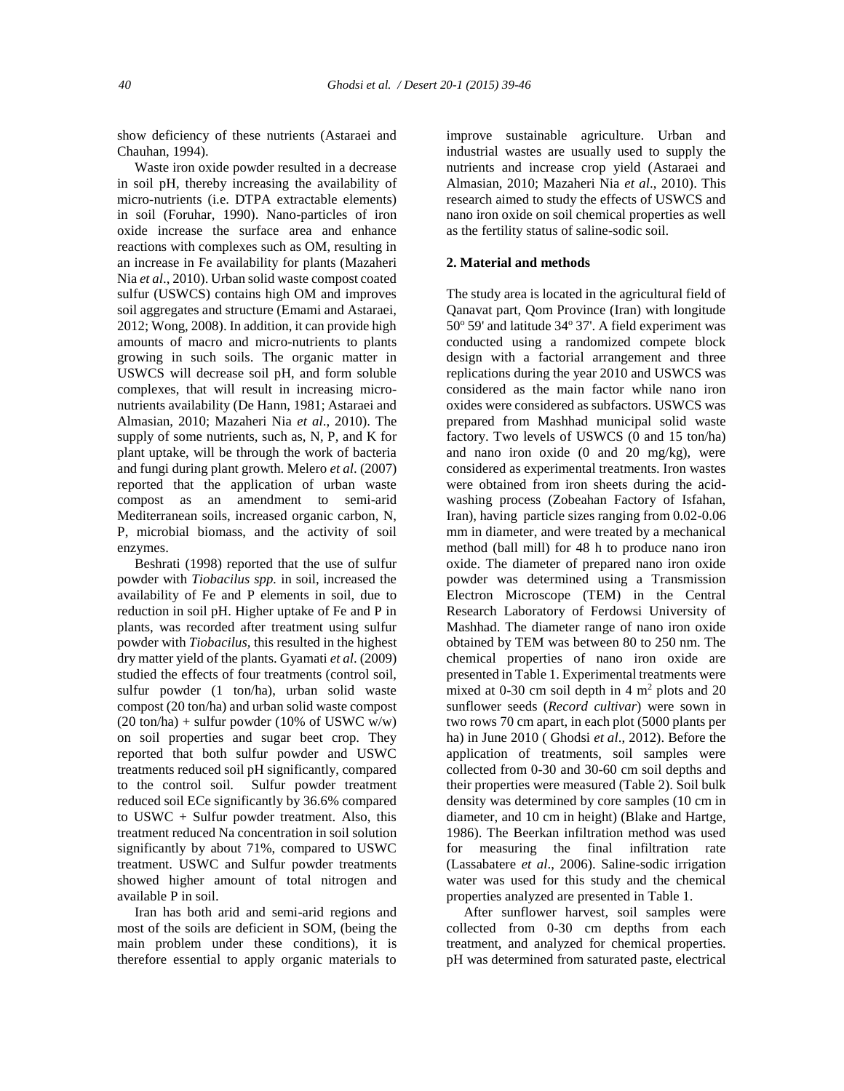show deficiency of these nutrients (Astaraei and Chauhan, 1994).

Waste iron oxide powder resulted in a decrease in soil pH, thereby increasing the availability of micro-nutrients (i.e. DTPA extractable elements) in soil (Foruhar, 1990). Nano-particles of iron oxide increase the surface area and enhance reactions with complexes such as OM, resulting in an increase in Fe availability for plants (Mazaheri Nia *et al*., 2010). Urban solid waste compost coated sulfur (USWCS) contains high OM and improves soil aggregates and structure (Emami and Astaraei, 2012; Wong, 2008). In addition, it can provide high amounts of macro and micro-nutrients to plants growing in such soils. The organic matter in USWCS will decrease soil pH, and form soluble complexes, that will result in increasing micro nutrients availability (De Hann, 1981; Astaraei and Almasian, 2010; Mazaheri Nia *et al*., 2010). The supply of some nutrients, such as, N, P, and K for plant uptake, will be through the work of bacteria and fungi during plant growth. Melero *et al*. (2007) reported that the application of urban waste compost as an amendment to semi-arid Mediterranean soils, increased organic carbon, N, P, microbial biomass, and the activity of soil enzymes.

Beshrati (1998) reported that the use of sulfur powder with *Tiobacilus spp.* in soil, increased the availability of Fe and P elements in soil, due to reduction in soil pH. Higher uptake of Fe and P in plants, was recorded after treatment using sulfur powder with *Tiobacilus,* this resulted in the highest dry matter yield of the plants. Gyamati *et al*. (2009) studied the effects of four treatments (control soil, sulfur powder (1 ton/ha), urban solid waste compost (20 ton/ha) and urban solid waste compost  $(20 \text{ ton/ha}) +$  sulfur powder  $(10\% \text{ of USWC w/w})$ on soil properties and sugar beet crop. They reported that both sulfur powder and USWC treatments reduced soil pH significantly, compared to the control soil. Sulfur powder treatment reduced soil ECe significantly by 36.6% compared to USWC + Sulfur powder treatment. Also, this treatment reduced Na concentration in soil solution significantly by about 71%, compared to USWC treatment. USWC and Sulfur powder treatments showed higher amount of total nitrogen and available P in soil.

Iran has both arid and semi-arid regions and most of the soils are deficient in SOM, (being the main problem under these conditions), it is therefore essential to apply organic materials to improve sustainable agriculture. Urban and industrial wastes are usually used to supply the nutrients and increase crop yield (Astaraei and Almasian, 2010; Mazaheri Nia *et al*., 2010). This research aimed to study the effects of USWCS and nano iron oxide on soil chemical properties as well as the fertility status of saline-sodic soil.

#### **2. Material and methods**

The study area is located in the agricultural field of Qanavat part, Qom Province (Iran) with longitude  $50^{\circ}$  59' and latitude 34 $^{\circ}$  37'. A field experiment was conducted using a randomized compete block design with a factorial arrangement and three replications during the year 2010 and USWCS was considered as the main factor while nano iron oxides were considered as subfactors. USWCS was prepared from Mashhad municipal solid waste factory. Two levels of USWCS (0 and 15 ton/ha) and nano iron oxide (0 and 20 mg/kg), were considered as experimental treatments. Iron wastes were obtained from iron sheets during the acid washing process (Zobeahan Factory of Isfahan, Iran), having particle sizes ranging from 0.02-0.06 mm in diameter, and were treated by a mechanical method (ball mill) for 48 h to produce nano iron oxide. The diameter of prepared nano iron oxide powder was determined using a Transmission Electron Microscope (TEM) in the Central Research Laboratory of Ferdowsi University of Mashhad. The diameter range of nano iron oxide obtained by TEM was between 80 to 250 nm. The chemical properties of nano iron oxide are presented in Table 1. Experimental treatments were mixed at 0-30 cm soil depth in  $4 \text{ m}^2$  plots and  $20 \text{ m}$ sunflower seeds (*Record cultivar*) were sown in two rows 70 cm apart, in each plot (5000 plants per ha) in June 2010 ( Ghodsi *et al*., 2012). Before the application of treatments, soil samples were collected from 0-30 and 30-60 cm soil depths and their properties were measured (Table 2). Soil bulk density was determined by core samples (10 cm in diameter, and 10 cm in height) (Blake and Hartge, 1986). The Beerkan infiltration method was used for measuring the final infiltration rate (Lassabatere *et al*., 2006). Saline-sodic irrigation water was used for this study and the chemical properties analyzed are presented in Table 1.

After sunflower harvest, soil samples were collected from 0-30 cm depths from each treatment, and analyzed for chemical properties. pH was determined from saturated paste, electrical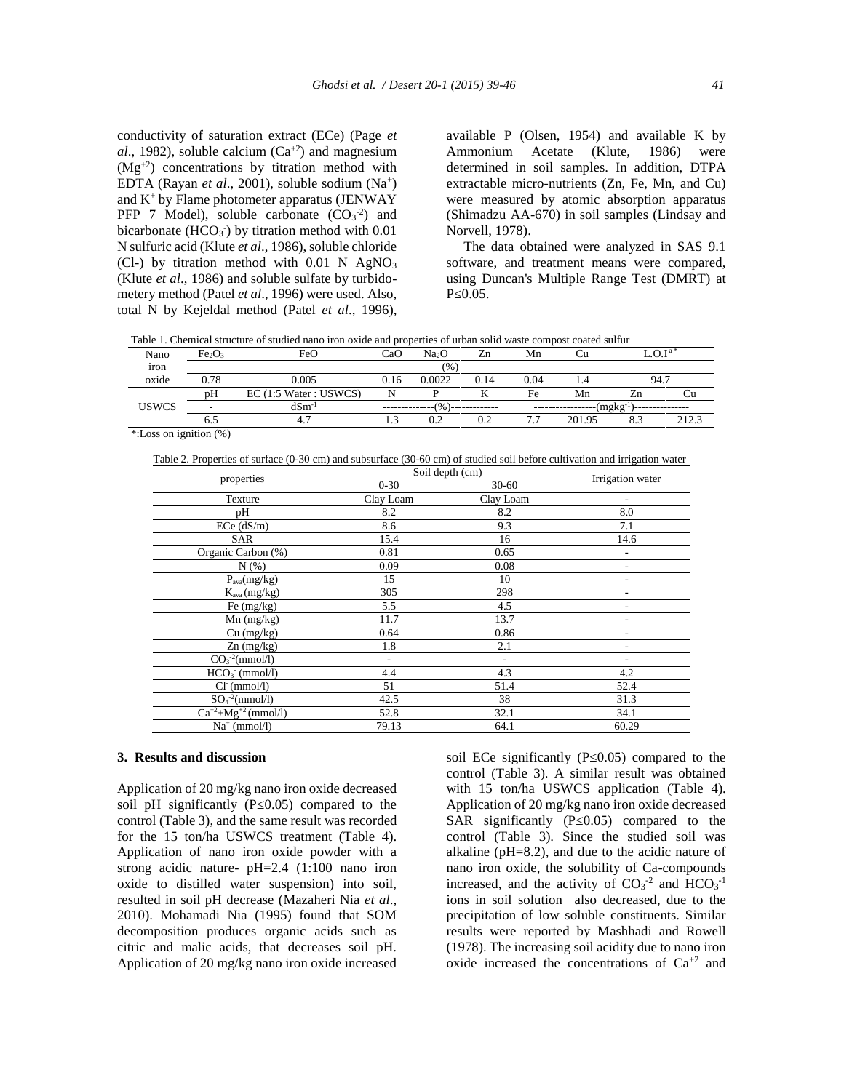conductivity of saturation extract (ECe) (Page *et*  $al.$ , 1982), soluble calcium  $(Ca^{+2})$  and magnesium  $(Mg<sup>+2</sup>)$  concentrations by titration method with EDTA (Rayan *et al.*, 2001), soluble sodium (Na<sup>+</sup>) and  $K^+$  by Flame photometer apparatus (JENWAY) PFP 7 Model), soluble carbonate  $(CO<sub>3</sub><sup>-2</sup>)$  and bicarbonate  $(HCO<sub>3</sub>)$  by titration method with  $0.01$ N sulfuric acid (Klute *et al*., 1986), soluble chloride (Cl-) by titration method with  $0.01$  N AgNO<sub>3</sub> (Klute *et al*., 1986) and soluble sulfate by turbido metery method (Patel *et al*., 1996) were used. Also, total N by Kejeldal method (Patel *et al*., 1996),

available P (Olsen, 1954) and available K by Ammonium Acetate (Klute, 1986) were determined in soil samples. In addition, DTPA extractable micro-nutrients (Zn, Fe, Mn, and Cu) were measured by atomic absorption apparatus (Shimadzu AA-670) in soil samples (Lindsay and Norvell, 1978).

The data obtained were analyzed in SAS 9.1 software, and treatment means were compared, using Duncan's Multiple Range Test (DMRT) at P 0.05.

Table 1. Chemical structure of studied nano iron oxide and properties of urban solid waste compost coated sulfur

| Nano                         | Fe <sub>2</sub> O | FeO                                         | CaO            | Na2O          | Zn   | Mn   |        |     | $\bigcap$ Ta |
|------------------------------|-------------------|---------------------------------------------|----------------|---------------|------|------|--------|-----|--------------|
| $\ddot{\phantom{1}}$<br>iron |                   |                                             |                | (96)          |      |      |        |     |              |
| oxide                        | 0.78              | 0.005                                       | 0.16           | 0.0022        | 0.14 | 0.04 |        | 94. |              |
|                              | pH                | $(1:5 \text{ Water} : \text{USWCS})$<br>EC( | N              |               |      | Fe   | Mn     | /.r |              |
| <b>USWCS</b>                 |                   | $dSm^{-1}$                                  |                | $\frac{9}{6}$ |      |      | (mgkg) |     |              |
|                              | O.                |                                             | $\sim$<br>نبرد | 0.2           |      |      | 201.95 |     | າາາາ         |

\*:Loss on ignition (%)

Table 2. Properties of surface (0-30 cm) and subsurface (30-60 cm) of studied soil before cultivation and irrigation water

| properties<br>$0 - 30$<br>$30 - 60$<br>Texture<br>Clay Loam<br>Clay Loam<br>8.0<br>8.2<br>8.2<br>pH<br>8.6<br>9.3<br>7.1<br>$ECe$ ( $dS/m$ )<br>14.6<br>15.4<br>16<br><b>SAR</b><br>0.81<br>Organic Carbon (%)<br>0.65<br>۰<br>0.09<br>0.08<br>$N(\%)$<br>۰<br>15<br>10<br>$P_{\text{ava}}(mg/kg)$<br>305<br>298<br>$K_{ava}$ (mg/kg)<br>Fe (mg/kg)<br>5.5<br>4.5<br>11.7<br>13.7<br>$Mn$ (mg/kg)<br>0.86<br>0.64<br>Cu (mg/kg)<br>۰<br>2.1<br>1.8<br>$Zn$ (mg/kg)<br>۰<br>$CO3-2(mmol/l)$<br>-<br>4.3<br>$HCO3$ (mmol/l)<br>4.4<br>4.2<br>52.4<br>$Cl-$ (mmol/l)<br>51<br>51.4<br>$SO_4^{-2}$ (mmol/l)<br>38<br>42.5<br>31.3<br>$Ca^{+2}+Mg^{+2}$ (mmol/l)<br>32.1<br>52.8<br>34.1<br>$Na^+$ (mmol/l)<br>79.13<br>64.1<br>60.29 | Soil depth (cm) | Irrigation water |  |
|----------------------------------------------------------------------------------------------------------------------------------------------------------------------------------------------------------------------------------------------------------------------------------------------------------------------------------------------------------------------------------------------------------------------------------------------------------------------------------------------------------------------------------------------------------------------------------------------------------------------------------------------------------------------------------------------------------------------------------|-----------------|------------------|--|
|                                                                                                                                                                                                                                                                                                                                                                                                                                                                                                                                                                                                                                                                                                                                  |                 |                  |  |
|                                                                                                                                                                                                                                                                                                                                                                                                                                                                                                                                                                                                                                                                                                                                  |                 |                  |  |
|                                                                                                                                                                                                                                                                                                                                                                                                                                                                                                                                                                                                                                                                                                                                  |                 |                  |  |
|                                                                                                                                                                                                                                                                                                                                                                                                                                                                                                                                                                                                                                                                                                                                  |                 |                  |  |
|                                                                                                                                                                                                                                                                                                                                                                                                                                                                                                                                                                                                                                                                                                                                  |                 |                  |  |
|                                                                                                                                                                                                                                                                                                                                                                                                                                                                                                                                                                                                                                                                                                                                  |                 |                  |  |
|                                                                                                                                                                                                                                                                                                                                                                                                                                                                                                                                                                                                                                                                                                                                  |                 |                  |  |
|                                                                                                                                                                                                                                                                                                                                                                                                                                                                                                                                                                                                                                                                                                                                  |                 |                  |  |
|                                                                                                                                                                                                                                                                                                                                                                                                                                                                                                                                                                                                                                                                                                                                  |                 |                  |  |
|                                                                                                                                                                                                                                                                                                                                                                                                                                                                                                                                                                                                                                                                                                                                  |                 |                  |  |
|                                                                                                                                                                                                                                                                                                                                                                                                                                                                                                                                                                                                                                                                                                                                  |                 |                  |  |
|                                                                                                                                                                                                                                                                                                                                                                                                                                                                                                                                                                                                                                                                                                                                  |                 |                  |  |
|                                                                                                                                                                                                                                                                                                                                                                                                                                                                                                                                                                                                                                                                                                                                  |                 |                  |  |
|                                                                                                                                                                                                                                                                                                                                                                                                                                                                                                                                                                                                                                                                                                                                  |                 |                  |  |
|                                                                                                                                                                                                                                                                                                                                                                                                                                                                                                                                                                                                                                                                                                                                  |                 |                  |  |
|                                                                                                                                                                                                                                                                                                                                                                                                                                                                                                                                                                                                                                                                                                                                  |                 |                  |  |
|                                                                                                                                                                                                                                                                                                                                                                                                                                                                                                                                                                                                                                                                                                                                  |                 |                  |  |
|                                                                                                                                                                                                                                                                                                                                                                                                                                                                                                                                                                                                                                                                                                                                  |                 |                  |  |
|                                                                                                                                                                                                                                                                                                                                                                                                                                                                                                                                                                                                                                                                                                                                  |                 |                  |  |

### **3. Results and discussion**

Application of 20 mg/kg nano iron oxide decreased soil pH significantly (P 0.05) compared to the control (Table 3), and the same result was recorded for the 15 ton/ha USWCS treatment (Table 4). Application of nano iron oxide powder with a strong acidic nature- pH=2.4 (1:100 nano iron oxide to distilled water suspension) into soil, resulted in soil pH decrease (Mazaheri Nia *et al*., 2010). Mohamadi Nia (1995) found that SOM decomposition produces organic acids such as citric and malic acids, that decreases soil pH. Application of 20 mg/kg nano iron oxide increased

soil ECe significantly  $(P<sub>0.05</sub>)$  compared to the control (Table 3). A similar result was obtained with 15 ton/ha USWCS application (Table 4). Application of 20 mg/kg nano iron oxide decreased SAR significantly (P 0.05) compared to the control (Table 3). Since the studied soil was alkaline (pH=8.2), and due to the acidic nature of nano iron oxide, the solubility of Ca-compounds increased, and the activity of  $CO<sub>3</sub><sup>-2</sup>$  and  $HCO<sub>3</sub><sup>-1</sup>$ ions in soil solution also decreased, due to the precipitation of low soluble constituents. Similar results were reported by Mashhadi and Rowell (1978). The increasing soil acidity due to nano iron oxide increased the concentrations of Ca+2 and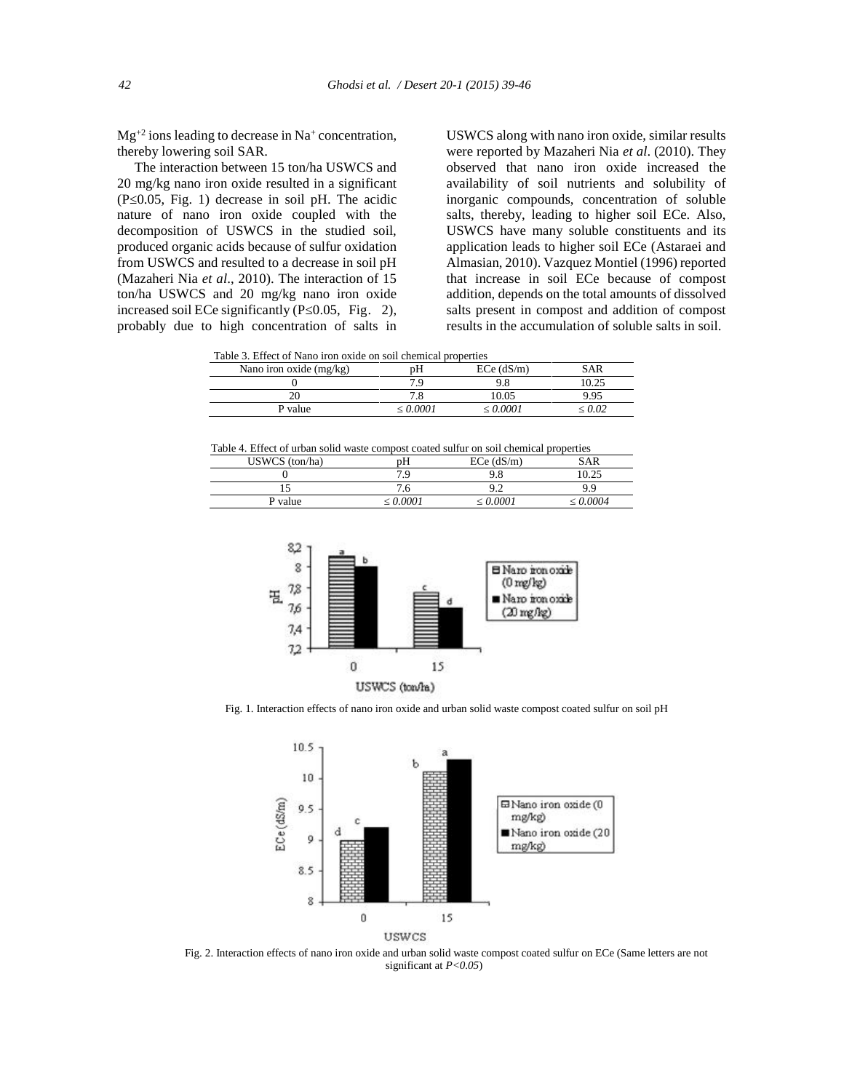$Mg^{+2}$  ions leading to decrease in Na<sup>+</sup> concentration, thereby lowering soil SAR.

The interaction between 15 ton/ha USWCS and 20 mg/kg nano iron oxide resulted in a significant (P≤0.05, Fig. 1) decrease in soil pH. The acidic nature of nano iron oxide coupled with the decomposition of USWCS in the studied soil, produced organic acids because of sulfur oxidation from USWCS and resulted to a decrease in soil pH (Mazaheri Nia *et al*., 2010). The interaction of 15 ton/ha USWCS and 20 mg/kg nano iron oxide decomposition of USWCS in the studied soil,<br>produced organic acids because of sulfur oxidation<br>from USWCS and resulted to a decrease in soil pH<br>(Mazaheri Nia *et al.*, 2010). The interaction of 15<br>ton/ha USWCS and 20 mg/k probably due to high concentration of salts in g.

USWCS along with nano iron oxide, similar results were reported by Mazaheri Nia *et al*. (2010). They observed that nano iron oxide increased the availability of soil nutrients and solubility of inorganic compounds, concentration of soluble salts, thereby, leading to higher soil ECe. Also, USWCS have many soluble constituents and its application leads to higher soil ECe (Astaraei and Almasian, 2010). Vazquez Montiel (1996) reported that increase in soil ECe because of compost addition, depends on the total amounts of dissolved salts present in compost and addition of compost results in the accumulation of soluble salts in soil.

Table 3. Effect of Nano iron oxide on soil chemical properties

| Nano iron oxide (mg/kg) | JП      | $ECe$ ( $dS/m$ ) |       |
|-------------------------|---------|------------------|-------|
|                         |         |                  | 10.25 |
|                         |         | 10.05            | ว ดร  |
| P value                 | n nnn i | . വെ             | م ،   |
|                         |         |                  |       |

Table 4. Effect of urban solid waste compost coated sulfur on soil chemical properties

| $USWCS$ (ton/ha) | рH       | $ECe$ (dS/m) | SAR    |
|------------------|----------|--------------|--------|
|                  | י ה<br>. | ΩQ<br>7.0    | 10.25  |
| ⊥ J              | . ւ.     | ے. د         | C      |
| P value          | 0.0001   | 0.0001       | 0.0004 |



Fig. 1. Interaction effects of nano iron oxide and urban solid waste compost coated sulfur on soil pH



Fig. 2. Interaction effects of nano iron oxide and urban solid waste compost coated sulfur on ECe (Same letters are not significant at *P<0.05*)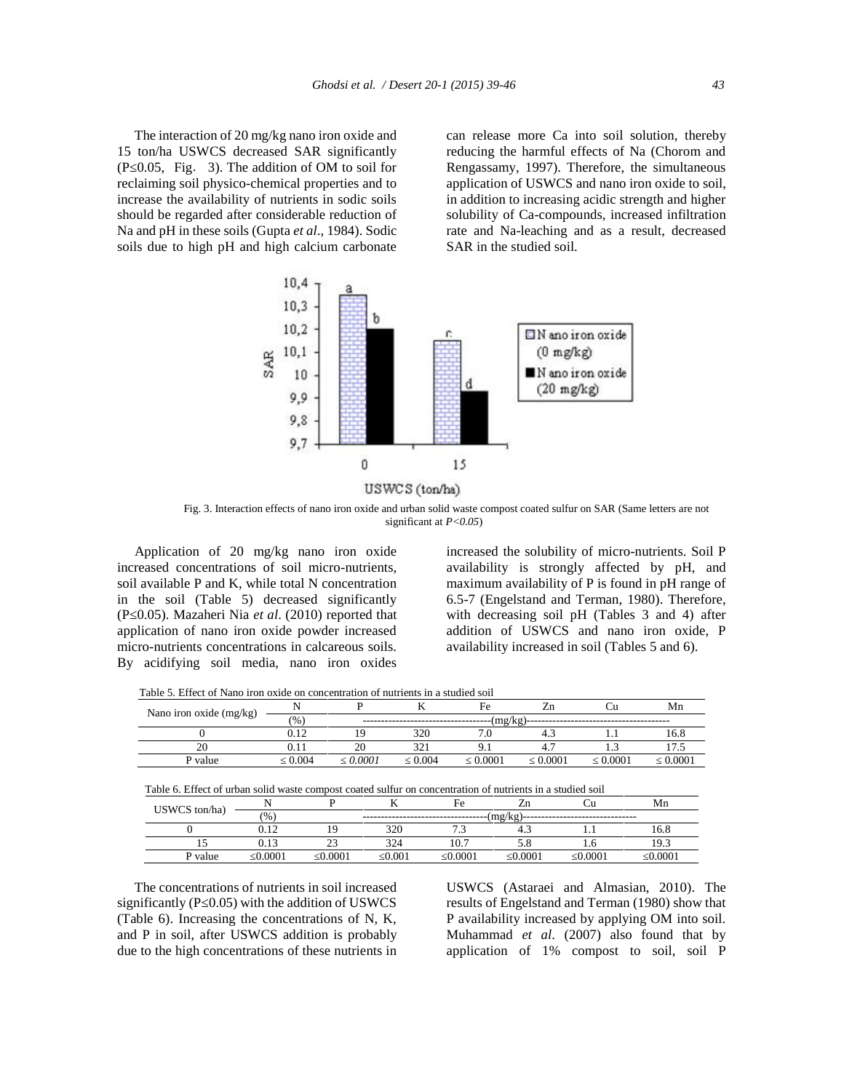The interaction of 20 mg/kg nano iron oxide and 15 ton/ha USWCS decreased SAR significantly  $(P \ 0.05, Fig. 3)$ . The addition of OM to soil for reclaiming soil physico-chemical properties and to increase the availability of nutrients in sodic soils should be regarded after considerable reduction of Na and pH in these soils (Gupta *et al*., 1984). Sodic soils due to high pH and high calcium carbonate

can release more Ca into soil solution, thereby reducing the harmful effects of Na (Chorom and Rengassamy, 1997). Therefore, the simultaneous application of USWCS and nano iron oxide to soil, in addition to increasing acidic strength and higher solubility of Ca-compounds, increased infiltration rate and Na-leaching and as a result, decreased SAR in the studied soil.



Fig. 3. Interaction effects of nano iron oxide and urban solid waste compost coated sulfur on SAR (Same letters are not significant at *P<0.05*)

Application of 20 mg/kg nano iron oxide increased concentrations of soil micro-nutrients, soil available P and K, while total N concentration in the soil (Table 5) decreased significantly (P≤0.05). Mazaheri Nia *et al*. (2010) reported that application of nano iron oxide powder increased micro-nutrients concentrations in calcareous soils. By acidifying soil media, nano iron oxides

increased the solubility of micro-nutrients. Soil P availability is strongly affected by pH, and maximum availability of P is found in pH range of 6.5-7 (Engelstand and Terman, 1980). Therefore, with decreasing soil pH (Tables 3 and 4) after addition of USWCS and nano iron oxide, P availability increased in soil (Tables 5 and 6).

Table 5. Effect of Nano iron oxide on concentration of nutrients in a studied soil

| Nano iron oxide (mg/kg) |       |        |                  | Fe     |            |     | Mn     |  |  |
|-------------------------|-------|--------|------------------|--------|------------|-----|--------|--|--|
|                         | (96)  | (mg/kg |                  |        |            |     |        |  |  |
|                         | 12    |        | 320              |        | <b>T.L</b> |     | 16.8   |  |  |
| $\sim$                  |       | ZU.    | $\sim$<br>ل کے ف |        | т.         | .   |        |  |  |
| P value                 | 0.004 | 0.0001 | 0.004            | 0.0001 | .0001      | 000 | 0.0001 |  |  |

| Table 6. Effect of urban solid waste compost coated sulfur on concentration of nutrients in a studied soil |  |
|------------------------------------------------------------------------------------------------------------|--|
|                                                                                                            |  |

| USWCS ton/ha) |        |                |       | Fe     |        |        | Mn     |
|---------------|--------|----------------|-------|--------|--------|--------|--------|
|               | (%)    |                |       |        | (mg/kg |        |        |
|               | 0.12   | 1 <sub>O</sub> | 320   |        |        |        | 16.8   |
|               | 0.13   |                | 324   | 10.7   |        | 1.U    | 10     |
| P value       | 0.0001 | 0.0001         | 0.001 | 0.0001 | 0.0001 | 0.0001 | 0.0001 |

The concentrations of nutrients in soil increased significantly ( $P_0.05$ ) with the addition of USWCS (Table 6). Increasing the concentrations of N, K, and P in soil, after USWCS addition is probably due to the high concentrations of these nutrients in USWCS (Astaraei and Almasian, 2010). The results of Engelstand and Terman (1980) show that P availability increased by applying OM into soil. Muhammad *et al*. (2007) also found that by application of 1% compost to soil, soil P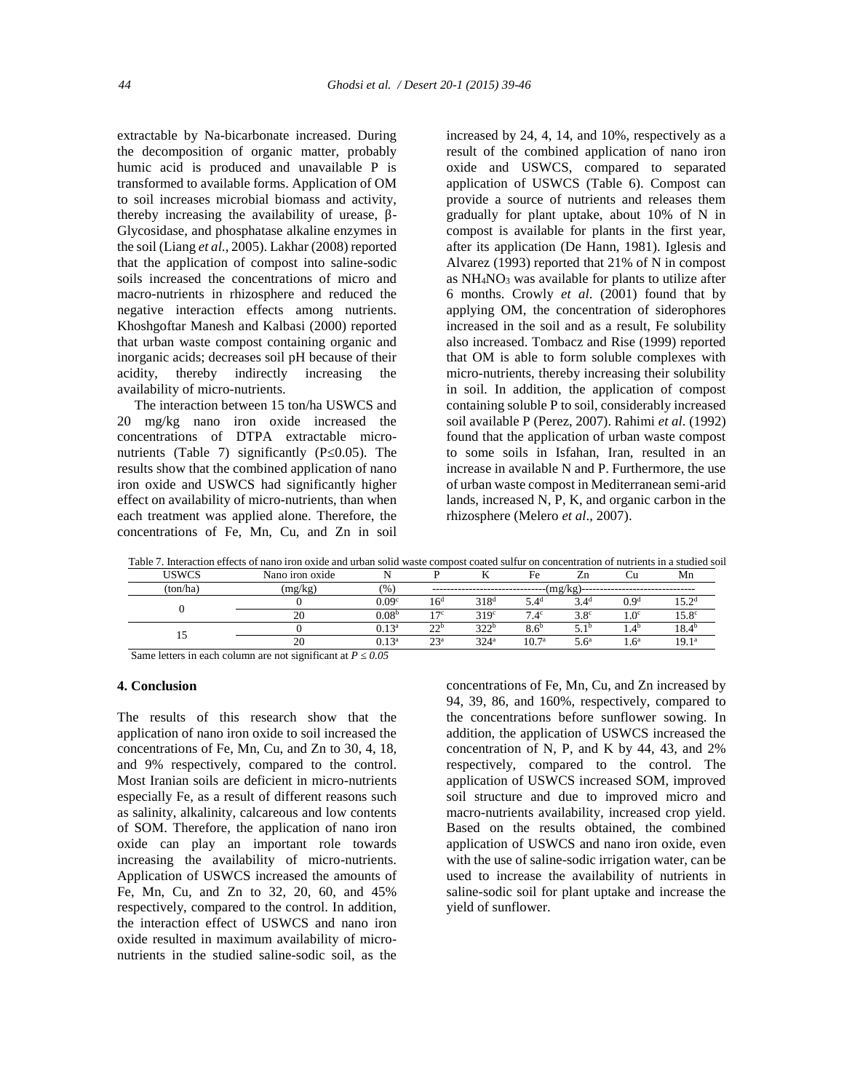extractable by Na-bicarbonate increased. During the decomposition of organic matter, probably humic acid is produced and unavailable P is transformed to available forms. Application of OM to soil increases microbial biomass and activity, thereby increasing the availability of urease, -Glycosidase, and phosphatase alkaline enzymes in the soil (Liang *et al*., 2005). Lakhar (2008) reported that the application of compost into saline-sodic soils increased the concentrations of micro and macro-nutrients in rhizosphere and reduced the negative interaction effects among nutrients. Khoshgoftar Manesh and Kalbasi (2000) reported that urban waste compost containing organic and inorganic acids; decreases soil pH because of their acidity, thereby indirectly increasing the availability of micro-nutrients.

The interaction between 15 ton/ha USWCS and 20 mg/kg nano iron oxide increased the concentrations of DTPA extractable micro nutrients (Table 7) significantly  $(P_0.05)$ . The results show that the combined application of nano iron oxide and USWCS had significantly higher effect on availability of micro-nutrients, than when each treatment was applied alone. Therefore, the concentrations of Fe, Mn, Cu, and Zn in soil

increased by 24, 4, 14, and 10%, respectively as a result of the combined application of nano iron oxide and USWCS, compared to separated application of USWCS (Table 6). Compost can provide a source of nutrients and releases them gradually for plant uptake, about 10% of N in compost is available for plants in the first year, after its application (De Hann, 1981). Iglesis and Alvarez (1993) reported that 21% of N in compost as  $NH<sub>4</sub>NO<sub>3</sub>$  was available for plants to utilize after 6 months. Crowly *et al*. (2001) found that by applying OM, the concentration of siderophores increased in the soil and as a result, Fe solubility also increased. Tombacz and Rise (1999) reported that OM is able to form soluble complexes with micro-nutrients, thereby increasing their solubility in soil. In addition, the application of compost containing soluble P to soil, considerably increased soil available P (Perez, 2007). Rahimi *et al*. (1992) found that the application of urban waste compost to some soils in Isfahan, Iran, resulted in an increase in available N and P. Furthermore, the use of urban waste compost in Mediterranean semi-arid lands, increased N, P, K, and organic carbon in the rhizosphere (Melero *et al*., 2007).

Table 7. Interaction effects of nano iron oxide and urban solid waste compost coated sulfur on concentration of nutrients in a studied soil

| <b>USWCS</b>                          | Nano iron oxide                     |                   |                 |                  | Fe                | Ζn               |                  | Mn             |
|---------------------------------------|-------------------------------------|-------------------|-----------------|------------------|-------------------|------------------|------------------|----------------|
| (ton/ha`                              | mg/                                 | (96)              | (mg/kg)         |                  |                   |                  |                  |                |
|                                       |                                     | 0.09 <sup>c</sup> | 16 <sup>d</sup> | 318 <sup>d</sup> | $5.4^d$           | $3.4^{\circ}$    | 0.9 <sup>d</sup> | 5 Ja           |
|                                       | 20                                  | $0.08^{\rm t}$    | 17c             | 319 <sup>c</sup> | $7.4^\circ$       | $3.8^\circ$      | 1.0 <sup>c</sup> | $15.8^\circ$   |
| 1.J                                   |                                     | $0.13^{\text{a}}$ | 22 <sub>b</sub> | 322 <sup>b</sup> | 8.6 <sup>b</sup>  | $5.1^{\circ}$    | $4.4^{\circ}$    | 18.4°          |
|                                       | 20                                  | $0.13^a$          | 23 <sup>a</sup> | 324 <sup>a</sup> | 10.7 <sup>a</sup> | 5.6 <sup>a</sup> | 1.6 <sup>a</sup> | $19.1^{\circ}$ |
| $\sim$<br>$\sim$ $\sim$ $\sim$ $\sim$ | $\cdots$ $\cdots$ $\cdots$ $\cdots$ |                   |                 |                  |                   |                  |                  |                |

Same letters in each column are not significant at *P* 0.05

#### **4. Conclusion**

The results of this research show that the application of nano iron oxide to soil increased the concentrations of Fe, Mn, Cu, and Zn to 30, 4, 18, and 9% respectively, compared to the control. Most Iranian soils are deficient in micro-nutrients especially Fe, as a result of different reasons such as salinity, alkalinity, calcareous and low contents of SOM. Therefore, the application of nano iron oxide can play an important role towards increasing the availability of micro-nutrients. Application of USWCS increased the amounts of Fe, Mn, Cu, and Zn to 32, 20, 60, and 45% respectively, compared to the control. In addition, the interaction effect of USWCS and nano iron oxide resulted in maximum availability of micro nutrients in the studied saline-sodic soil, as the concentrations of Fe, Mn, Cu, and Zn increased by 94, 39, 86, and 160%, respectively, compared to the concentrations before sunflower sowing. In addition, the application of USWCS increased the concentration of N, P, and K by 44, 43, and 2% respectively, compared to the control. The application of USWCS increased SOM, improved soil structure and due to improved micro and macro-nutrients availability, increased crop yield. Based on the results obtained, the combined application of USWCS and nano iron oxide, even with the use of saline-sodic irrigation water, can be used to increase the availability of nutrients in saline-sodic soil for plant uptake and increase the yield of sunflower.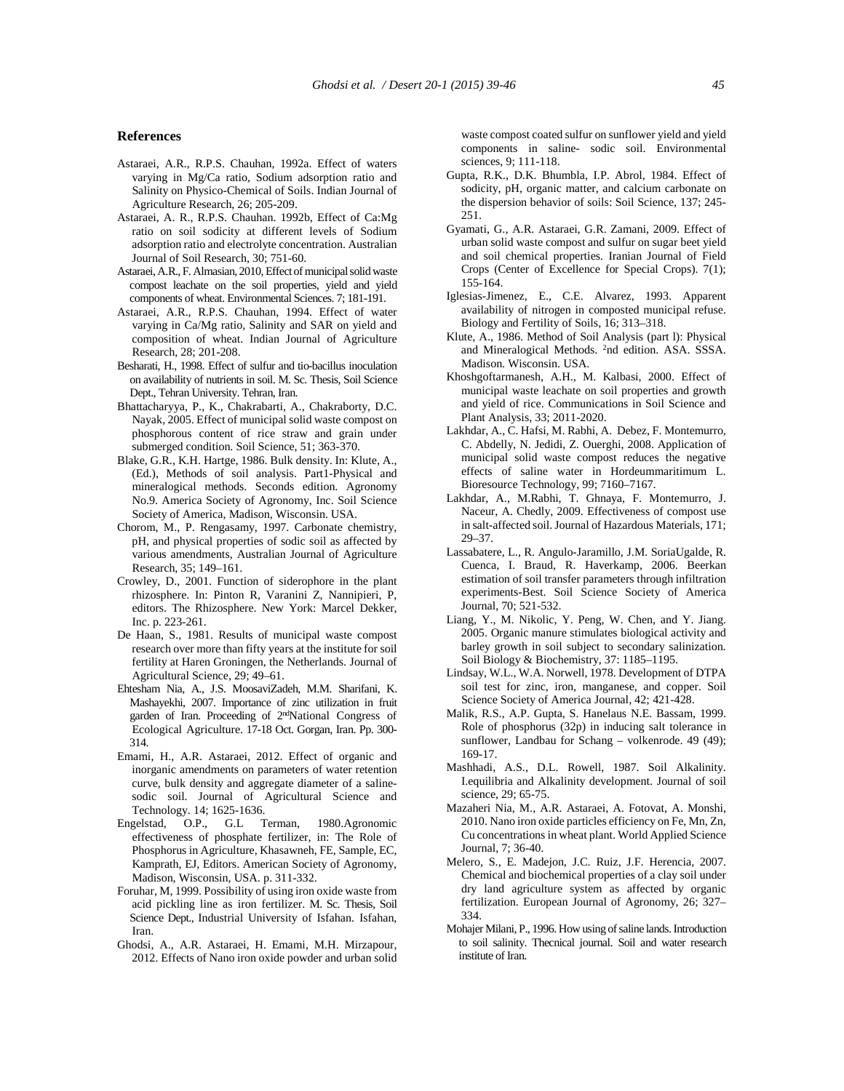#### **References**

- Astaraei, A.R., R.P.S. Chauhan, 1992a. Effect of waters varying in Mg/Ca ratio, Sodium adsorption ratio and Salinity on Physico-Chemical of Soils. Indian Journal of Agriculture Research, 26; 205-209.
- Astaraei, A. R., R.P.S. Chauhan. 1992b, Effect of Ca:Mg ratio on soil sodicity at different levels of Sodium adsorption ratio and electrolyte concentration. Australian Journal of Soil Research, 30; 751-60.
- Astaraei, A.R., F. Almasian, 2010, Effect of municipal solid waste compost leachate on the soil properties, yield and yield components of wheat. Environmental Sciences. 7; 181-191.
- Astaraei, A.R., R.P.S. Chauhan, 1994. Effect of water varying in Ca/Mg ratio, Salinity and SAR on yield and composition of wheat. Indian Journal of Agriculture Research, 28; 201-208.
- Besharati, H., 1998. Effect of sulfur and tio-bacillus inoculation on availability of nutrients in soil. M. Sc. Thesis, Soil Science Dept., Tehran University. Tehran, Iran.
- Bhattacharyya, P., K., Chakrabarti, A., Chakraborty, D.C. Nayak, 2005. Effect of municipal solid waste compost on phosphorous content of rice straw and grain under submerged condition. Soil Science, 51; 363-370.
- Blake, G.R., K.H. Hartge, 1986. Bulk density. In: Klute, A., (Ed.), Methods of soil analysis. Part1-Physical and mineralogical methods. Seconds edition. Agronomy No.9. America Society of Agronomy, Inc. Soil Science Society of America, Madison, Wisconsin. USA.
- Chorom, M., P. Rengasamy, 1997. Carbonate chemistry, pH, and physical properties of sodic soil as affected by various amendments, Australian Journal of Agriculture Research, 35; 149–161.
- Crowley, D., 2001. Function of siderophore in the plant rhizosphere. In: Pinton R, Varanini Z, Nannipieri, P, editors. The Rhizosphere. New York: Marcel Dekker, Inc. p. 223-261.
- De Haan, S., 1981. Results of municipal waste compost research over more than fifty years at the institute for soil fertility at Haren Groningen, the Netherlands. Journal of Agricultural Science, 29; 49–61.
- Ehtesham Nia, A., J.S. MoosaviZadeh, M.M. Sharifani, K. Mashayekhi, 2007. Importance of zinc utilization in fruit garden of Iran. Proceeding of 2ndNational Congress of Ecological Agriculture. 17-18 Oct. Gorgan, Iran. Pp. 300- 314.
- Emami, H., A.R. Astaraei, 2012. Effect of organic and inorganic amendments on parameters of water retention curve, bulk density and aggregate diameter of a saline sodic soil. Journal of Agricultural Science and Technology. 14; 1625-1636.
- Engelstad, O.P., G.L Terman, 1980.Agronomic effectiveness of phosphate fertilizer, in: The Role of Phosphorus in Agriculture, Khasawneh, FE, Sample, EC, Kamprath, EJ, Editors. American Society of Agronomy, Madison, Wisconsin, USA. p. 311-332.
- Foruhar, M, 1999. Possibility of using iron oxide waste from acid pickling line as iron fertilizer. M. Sc. Thesis, Soil Science Dept., Industrial University of Isfahan. Isfahan, Iran.
- Ghodsi, A., A.R. Astaraei, H. Emami, M.H. Mirzapour, 2012. Effects of Nano iron oxide powder and urban solid

waste compost coated sulfur on sunflower yield and yield components in saline- sodic soil. Environmental sciences, 9; 111-118.

- Gupta, R.K., D.K. Bhumbla, I.P. Abrol, 1984. Effect of sodicity, pH, organic matter, and calcium carbonate on the dispersion behavior of soils: Soil Science, 137; 245- 251.
- Gyamati, G., A.R. Astaraei, G.R. Zamani, 2009. Effect of urban solid waste compost and sulfur on sugar beet yield and soil chemical properties. Iranian Journal of Field Crops (Center of Excellence for Special Crops). 7(1); 155-164.
- Iglesias-Jimenez, E., C.E. Alvarez, 1993. Apparent availability of nitrogen in composted municipal refuse. Biology and Fertility of Soils, 16; 313–318.
- Klute, A., 1986. Method of Soil Analysis (part l): Physical and Mineralogical Methods. <sup>2</sup>nd edition. ASA. SSSA. Madison. Wisconsin. USA.
- Khoshgoftarmanesh, A.H., M. Kalbasi, 2000. Effect of municipal waste leachate on soil properties and growth and yield of rice. Communications in Soil Science and Plant Analysis, 33; 2011-2020.
- Lakhdar, A., C. Hafsi, M. Rabhi, A. Debez, F. Montemurro, C. Abdelly, N. Jedidi, Z. Ouerghi, 2008. Application of municipal solid waste compost reduces the negative effects of saline water in Hordeummaritimum L. Bioresource Technology, 99; 7160–7167.
- Lakhdar, A., M.Rabhi, T. Ghnaya, F. Montemurro, J. Naceur, A. Chedly, 2009. Effectiveness of compost use in salt-affected soil. Journal of Hazardous Materials, 171; 29–37.
- Lassabatere, L., R. Angulo-Jaramillo, J.M. SoriaUgalde, R. Cuenca, I. Braud, R. Haverkamp, 2006. Beerkan estimation of soil transfer parameters through infiltration experiments-Best. Soil Science Society of America Journal, 70; 521-532.
- Liang, Y., M. Nikolic, Y. Peng, W. Chen, and Y. Jiang. 2005. Organic manure stimulates biological activity and barley growth in soil subject to secondary salinization. Soil Biology & Biochemistry, 37: 1185–1195.
- Lindsay, W.L., W.A. Norwell, 1978. Development of DTPA soil test for zinc, iron, manganese, and copper. Soil Science Society of America Journal, 42; 421-428.
- Malik, R.S., A.P. Gupta, S. Hanelaus N.E. Bassam, 1999. Role of phosphorus (32p) in inducing salt tolerance in sunflower, Landbau for Schang – volkenrode. 49 (49); 169-17.
- Mashhadi, A.S., D.L. Rowell, 1987. Soil Alkalinity. I.equilibria and Alkalinity development. Journal of soil science, 29; 65-75.
- Mazaheri Nia, M., A.R. Astaraei, A. Fotovat, A. Monshi, 2010. Nano iron oxide particles efficiency on Fe, Mn, Zn, Cu concentrations in wheat plant. World Applied Science Journal, 7; 36-40.
- Melero, S., E. Madejon, J.C. Ruiz, J.F. Herencia, 2007. Chemical and biochemical properties of a clay soil under dry land agriculture system as affected by organic fertilization. European Journal of Agronomy, 26; 327– 334.
- Mohajer Milani, P., 1996. How using of saline lands. Introduction to soil salinity. Thecnical journal. Soil and water research institute of Iran.